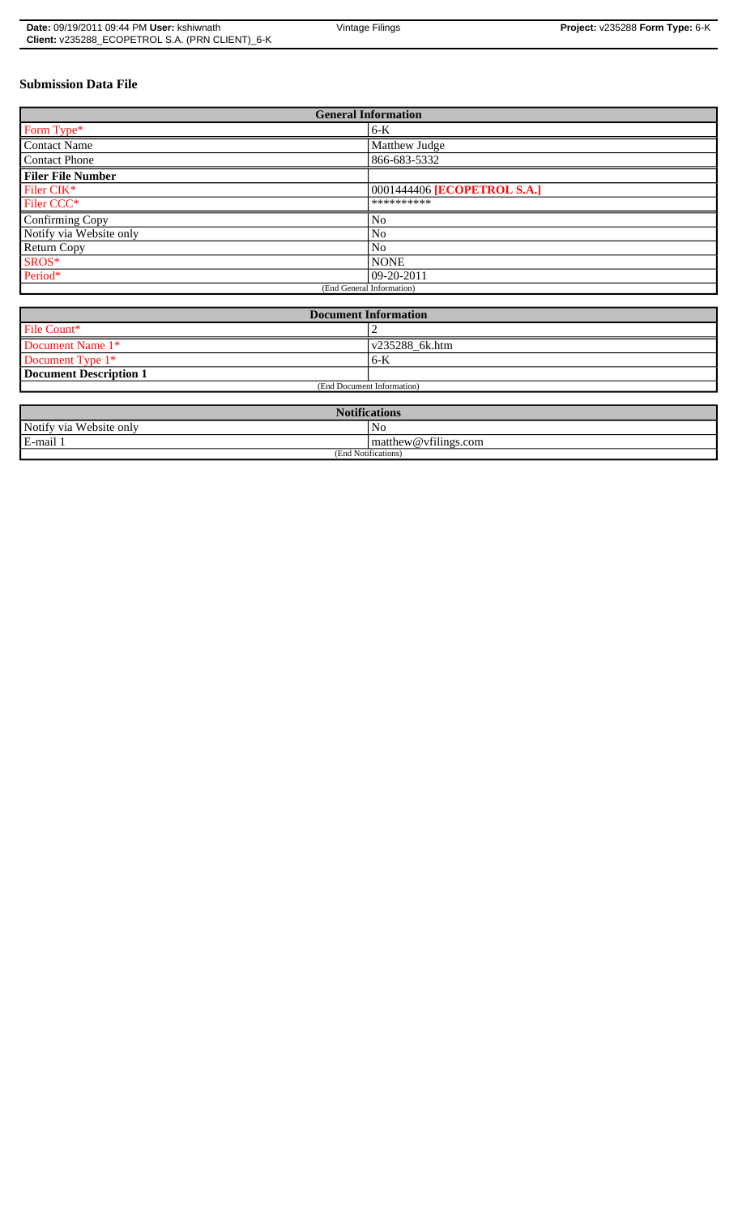| <b>Date: 09/19/2011 09:44 PM User: kshiwnath</b> | Vintage Filings |  |
|--------------------------------------------------|-----------------|--|
| Client: v235288_ECOPETROL S.A. (PRN CLIENT)_6-K  |                 |  |

# **Submission Data File**

| <b>General Information</b> |                             |  |
|----------------------------|-----------------------------|--|
| Form Type*                 | $6-K$                       |  |
| <b>Contact Name</b>        | Matthew Judge               |  |
| <b>Contact Phone</b>       | 866-683-5332                |  |
| <b>Filer File Number</b>   |                             |  |
| Filer CIK <sup>*</sup>     | 0001444406 [ECOPETROL S.A.] |  |
| Filer CCC*                 | **********                  |  |
| Confirming Copy            | No                          |  |
| Notify via Website only    | No                          |  |
| Return Copy                | N <sub>0</sub>              |  |
| SROS*                      | <b>NONE</b>                 |  |
| Period*                    | $ 09-20-2011$               |  |
| (End General Information)  |                             |  |

| <b>Document Information</b> |                        |  |
|-----------------------------|------------------------|--|
| File Count*                 |                        |  |
| Document Name 1*            | $\sqrt{235288}$ 6k.htm |  |
| Document Type 1*            | $6 - K$                |  |
| Document Description 1      |                        |  |
| (End Document Information)  |                        |  |

| <b>Notifications</b>    |                                |  |
|-------------------------|--------------------------------|--|
| Notify via Website only | No                             |  |
| E-mail                  | $\vert$ matthew @ vfilings.com |  |
| (End Notifications)     |                                |  |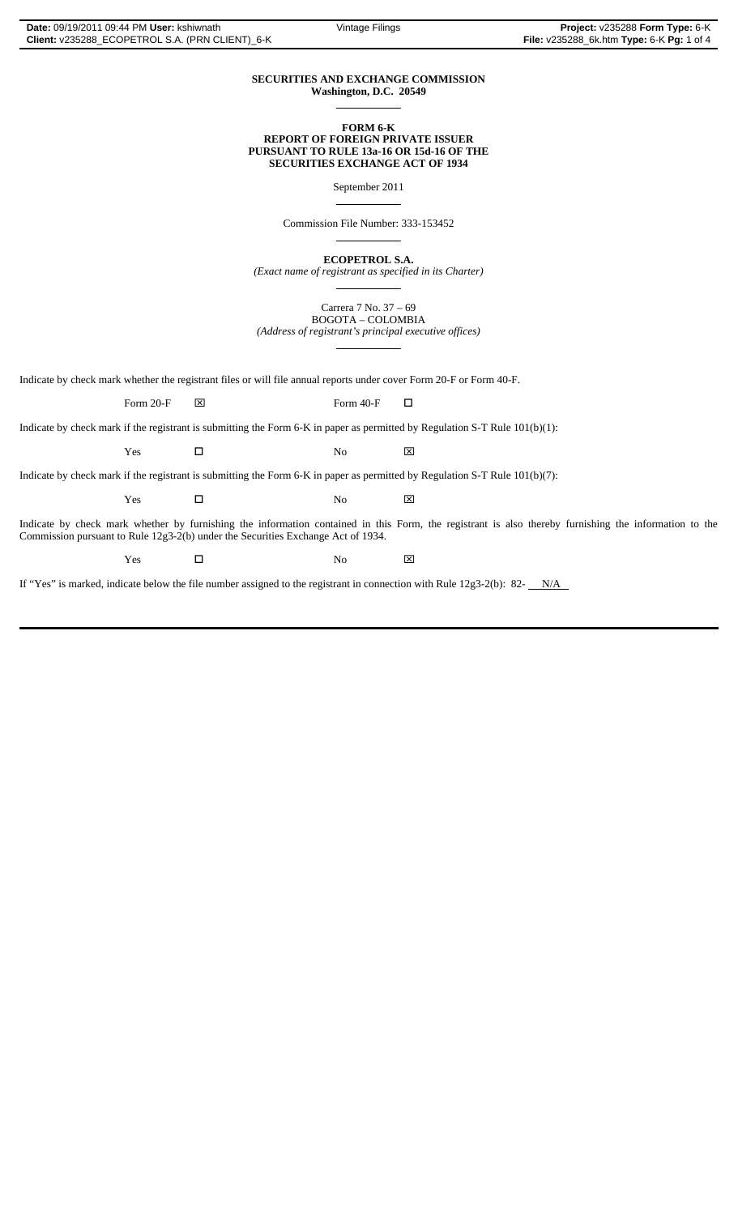#### **SECURITIES AND EXCHANGE COMMISSION Washington, D.C. 20549**  $\overline{a}$

### **FORM 6-K REPORT OF FOREIGN PRIVATE ISSUER PURSUANT TO RULE 13a-16 OR 15d-16 OF THE SECURITIES EXCHANGE ACT OF 1934**

September 2011

Commission File Number: 333-153452

 $\overline{a}$ 

 $\overline{a}$ 

 $\overline{a}$ 

 $\overline{a}$ 

**ECOPETROL S.A.**

*(Exact name of registrant as specified in its Charter)*

Carrera 7 No. 37 – 69 BOGOTA – COLOMBIA *(Address of registrant's principal executive offices)*

Indicate by check mark whether the registrant files or will file annual reports under cover Form 20-F or Form 40-F.

Form 20-F  $\boxtimes$  Form 40-F  $\Box$ 

Indicate by check mark if the registrant is submitting the Form 6-K in paper as permitted by Regulation S-T Rule 101(b)(1):

 $Yes$   $\Box$  No  $\boxtimes$ 

Indicate by check mark if the registrant is submitting the Form 6-K in paper as permitted by Regulation S-T Rule 101(b)(7):

 $Yes$   $\Box$  No  $\boxtimes$ 

Indicate by check mark whether by furnishing the information contained in this Form, the registrant is also thereby furnishing the information to the Commission pursuant to Rule 12g3-2(b) under the Securities Exchange Act of 1934.

 $Yes$   $\Box$  No  $\boxtimes$ 

If "Yes" is marked, indicate below the file number assigned to the registrant in connection with Rule 12g3-2(b): 82- $N/A$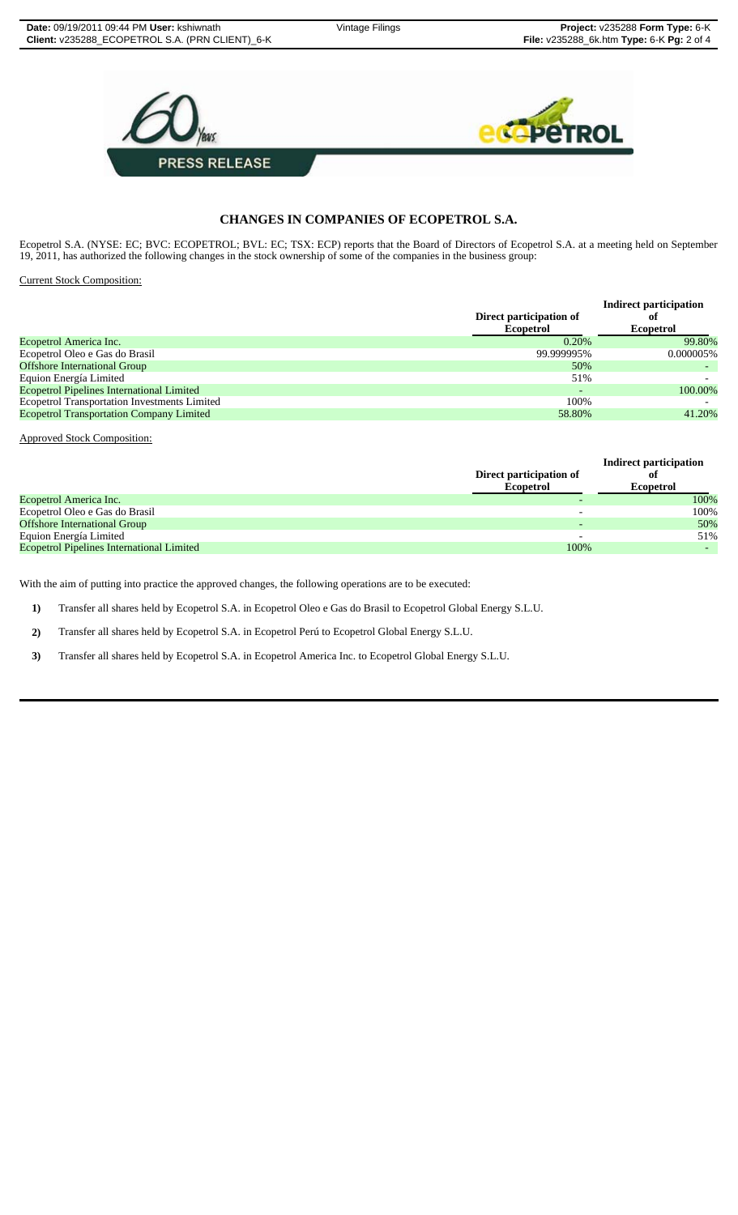

# **CHANGES IN COMPANIES OF ECOPETROL S.A.**

Ecopetrol S.A. (NYSE: EC; BVC: ECOPETROL; BVL: EC; TSX: ECP) reports that the Board of Directors of Ecopetrol S.A. at a meeting held on September 19, 2011, has authorized the following changes in the stock ownership of some of the companies in the business group:

Current Stock Composition:

|                                             | <b>Indirect participation</b> |  |
|---------------------------------------------|-------------------------------|--|
| Direct participation of<br><b>Ecopetrol</b> | оf                            |  |
|                                             | <b>Ecopetrol</b>              |  |
| 0.20%                                       | 99.80%                        |  |
| 99.999995%                                  | 0.000005%                     |  |
| 50%                                         |                               |  |
| 51%                                         |                               |  |
|                                             | 100.00%                       |  |
| 100\%                                       |                               |  |
| 58.80%                                      | 41.20%                        |  |
|                                             |                               |  |

Approved Stock Composition:

|                                                  | Direct participation of<br><b>Ecopetrol</b> | <b>Indirect participation</b><br>ot<br><b>Ecopetrol</b> |
|--------------------------------------------------|---------------------------------------------|---------------------------------------------------------|
| Ecopetrol America Inc.                           |                                             | 100%                                                    |
| Ecopetrol Oleo e Gas do Brasil                   |                                             | 100%                                                    |
| <b>Offshore International Group</b>              |                                             | 50%                                                     |
| Equion Energía Limited                           |                                             | 51%                                                     |
| <b>Ecopetrol Pipelines International Limited</b> | 100%                                        |                                                         |

With the aim of putting into practice the approved changes, the following operations are to be executed:

**1)** Transfer all shares held by Ecopetrol S.A. in Ecopetrol Oleo e Gas do Brasil to Ecopetrol Global Energy S.L.U.

**2)** Transfer all shares held by Ecopetrol S.A. in Ecopetrol Perú to Ecopetrol Global Energy S.L.U.

**3)** Transfer all shares held by Ecopetrol S.A. in Ecopetrol America Inc. to Ecopetrol Global Energy S.L.U.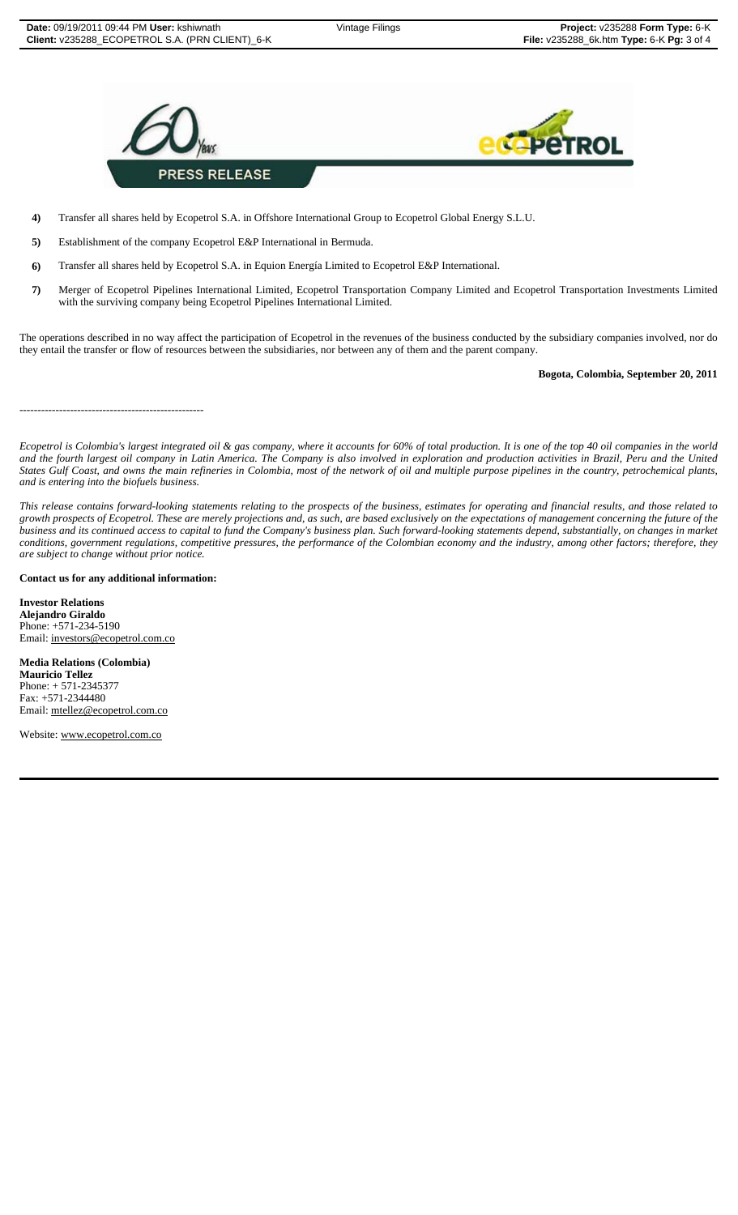

**4)** Transfer all shares held by Ecopetrol S.A. in Offshore International Group to Ecopetrol Global Energy S.L.U.

**5)** Establishment of the company Ecopetrol E&P International in Bermuda.

**6)** Transfer all shares held by Ecopetrol S.A. in Equion Energía Limited to Ecopetrol E&P International.

**7)** Merger of Ecopetrol Pipelines International Limited, Ecopetrol Transportation Company Limited and Ecopetrol Transportation Investments Limited with the surviving company being Ecopetrol Pipelines International Limited.

The operations described in no way affect the participation of Ecopetrol in the revenues of the business conducted by the subsidiary companies involved, nor do they entail the transfer or flow of resources between the subsidiaries, nor between any of them and the parent company.

### **Bogota, Colombia, September 20, 2011**

*Ecopetrol is Colombia's largest integrated oil & gas company, where it accounts for 60% of total production. It is one of the top 40 oil companies in the world and the fourth largest oil company in Latin America. The Company is also involved in exploration and production activities in Brazil, Peru and the United States Gulf Coast, and owns the main refineries in Colombia, most of the network of oil and multiple purpose pipelines in the country, petrochemical plants, and is entering into the biofuels business.*

*This release contains forward-looking statements relating to the prospects of the business, estimates for operating and financial results, and those related to growth prospects of Ecopetrol. These are merely projections and, as such, are based exclusively on the expectations of management concerning the future of the business and its continued access to capital to fund the Company's business plan. Such forward-looking statements depend, substantially, on changes in market conditions, government regulations, competitive pressures, the performance of the Colombian economy and the industry, among other factors; therefore, they are subject to change without prior notice.*

### **Contact us for any additional information:**

---------------------------------------------------

**Investor Relations Alejandro Giraldo** Phone: +571-234-5190 Email: investors@ecopetrol.com.co

**Media Relations (Colombia) Mauricio Tellez** Phone: + 571-2345377 Fax: +571-2344480 Email: mtellez@ecopetrol.com.co

Website: www.ecopetrol.com.co